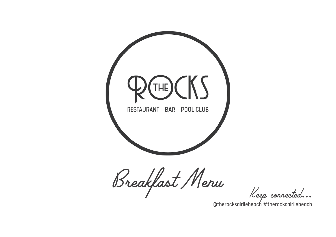

Breakfast Menu

Keep connected...

@therocksairliebeach #therocksairliebeach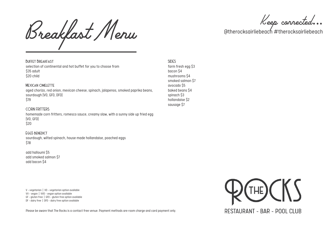Breakfast Menu

Keep connected...

@therocksairliebeach #therocksairliebeach

Buffet Breakfast selection of continental and hot buffet foryou to choose from \$35 adult \$20 child

## MEXICAN OMELETTE

aged chorizo, red onion, mexican cheese, spinach, jalapenos, smoked paprika beans, sourdough (VO, GFO, DFO) \$19

## CORN FRITTERS

homemade corn fritters, romesco sauce, creamyslaw, with a sunnyside up fried egg (VO, GFO) \$20

## EggS benedict

sourdough, wilted spinach, house made hollandaise, poached eggs \$18

add halloumi \$5 add smoked salmon \$7 add bacon \$4

V -vegetarian | VO -vegetarian option available VV - vegan | VVO - vegan option available GF - gluten free | GFO - gluten free option available DF - dairy free | DFO - dairy free option available

Please be aware that The Rocks is a contact free venue. Payment methods are room charge and card payment only.

SIDES farm fresh egg \$3 bacon \$4 mushrooms \$4 smoked salmon \$7 avocado \$5 baked beans \$4 spinach \$3 hollandaise \$2 sausage \$7